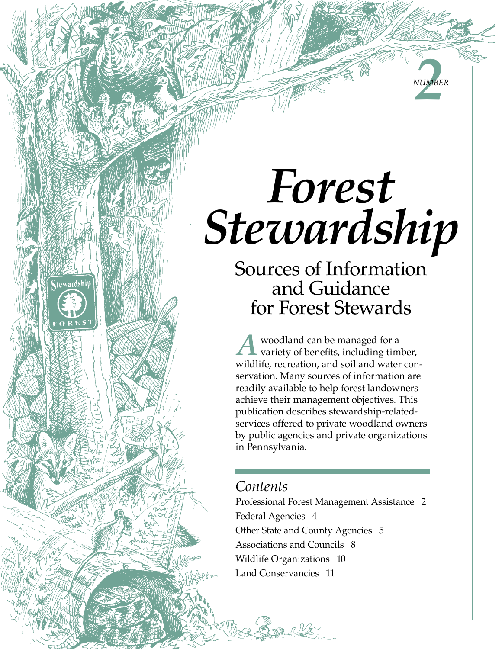# *Forest Stewardship*

**22** 

*Number*

Sources of Information and Guidance for Forest Stewards

A woodland can be managed for a variety of benefits, including timber, wildlife, recreation, and soil and water conservation. Many sources of information are readily available to help forest landowners achieve their management objectives. This publication describes stewardship-relatedservices offered to private woodland owners by public agencies and private organizations in Pennsylvania.

### *Contents*

tewardship

Professional Forest Management Assistance 2 Federal Agencies 4 Other State and County Agencies 5 Associations and Councils 8 Wildlife Organizations 10 Land Conservancies 11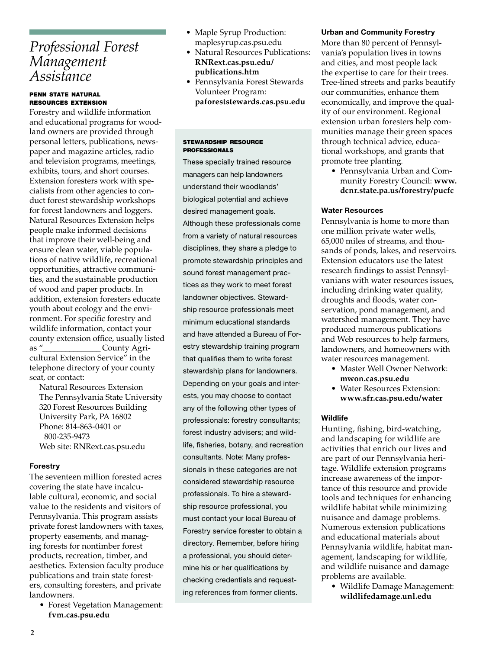### *Professional Forest Management Assistance*

#### penn state natural resources extension

Forestry and wildlife information and educational programs for woodland owners are provided through personal letters, publications, newspaper and magazine articles, radio and television programs, meetings, exhibits, tours, and short courses. Extension foresters work with specialists from other agencies to conduct forest stewardship workshops for forest landowners and loggers. Natural Resources Extension helps people make informed decisions that improve their well-being and ensure clean water, viable populations of native wildlife, recreational opportunities, attractive communities, and the sustainable production of wood and paper products. In addition, extension foresters educate youth about ecology and the environment. For specific forestry and wildlife information, contact your county extension office, usually listed as "  $\qquad \qquad$  County Agricultural Extension Service" in the telephone directory of your county seat, or contact:

Natural Resources Extension The Pennsylvania State University 320 Forest Resources Building University Park, PA 16802 Phone: 814-863-0401 or 800-235-9473 Web site: RNRext.cas.psu.edu

#### Forestry

The seventeen million forested acres covering the state have incalculable cultural, economic, and social value to the residents and visitors of Pennsylvania. This program assists private forest landowners with taxes, property easements, and managing forests for nontimber forest products, recreation, timber, and aesthetics. Extension faculty produce publications and train state foresters, consulting foresters, and private landowners.

• Forest Vegetation Management: **fvm.cas.psu.edu**

- Maple Syrup Production: maplesyrup.cas.psu.edu
- Natural Resources Publications: **RNRext.cas.psu.edu/ publications.htm**
- Pennsylvania Forest Stewards Volunteer Program: **paforeststewards.cas.psu.edu**

#### stewardship resource **PROFESSIONALS**

These specially trained resource managers can help landowners understand their woodlands' biological potential and achieve desired management goals. Although these professionals come from a variety of natural resources disciplines, they share a pledge to promote stewardship principles and sound forest management practices as they work to meet forest landowner objectives. Stewardship resource professionals meet minimum educational standards and have attended a Bureau of Forestry stewardship training program that qualifies them to write forest stewardship plans for landowners. Depending on your goals and interests, you may choose to contact any of the following other types of professionals: forestry consultants; forest industry advisers; and wildlife, fisheries, botany, and recreation consultants. Note: Many professionals in these categories are not considered stewardship resource professionals. To hire a stewardship resource professional, you must contact your local Bureau of Forestry service forester to obtain a directory. Remember, before hiring a professional, you should determine his or her qualifications by checking credentials and requesting references from former clients.

#### Urban and Community Forestry

More than 80 percent of Pennsylvania's population lives in towns and cities, and most people lack the expertise to care for their trees. Tree-lined streets and parks beautify our communities, enhance them economically, and improve the quality of our environment. Regional extension urban foresters help communities manage their green spaces through technical advice, educational workshops, and grants that promote tree planting.

• Pennsylvania Urban and Community Forestry Council: **www. dcnr.state.pa.us/forestry/pucfc**

#### Water Resources

Pennsylvania is home to more than one million private water wells, 65,000 miles of streams, and thousands of ponds, lakes, and reservoirs. Extension educators use the latest research findings to assist Pennsylvanians with water resources issues, including drinking water quality, droughts and floods, water conservation, pond management, and watershed management. They have produced numerous publications and Web resources to help farmers, landowners, and homeowners with water resources management.

- Master Well Owner Network: **mwon.cas.psu.edu**
- Water Resources Extension: **www.sfr.cas.psu.edu/water**

#### **Wildlife**

Hunting, fishing, bird-watching, and landscaping for wildlife are activities that enrich our lives and are part of our Pennsylvania heritage. Wildlife extension programs increase awareness of the importance of this resource and provide tools and techniques for enhancing wildlife habitat while minimizing nuisance and damage problems. Numerous extension publications and educational materials about Pennsylvania wildlife, habitat management, landscaping for wildlife, and wildlife nuisance and damage problems are available.

• Wildlife Damage Management: **wildlifedamage.unl.edu**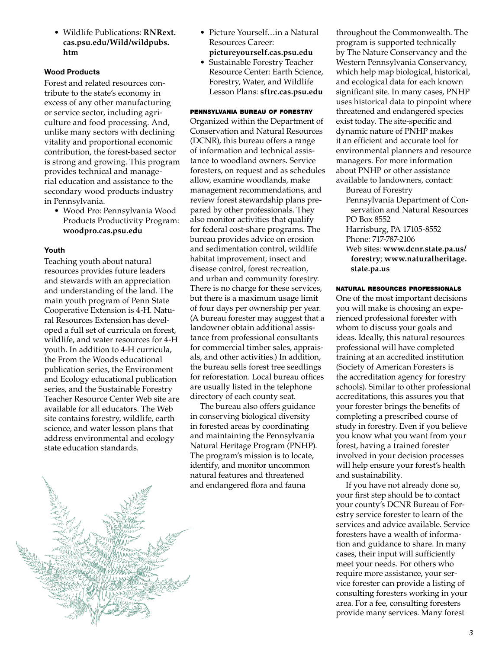• Wildlife Publications: **RNRext. cas.psu.edu/Wild/wildpubs. htm**

#### Wood Products

Forest and related resources contribute to the state's economy in excess of any other manufacturing or service sector, including agriculture and food processing. And, unlike many sectors with declining vitality and proportional economic contribution, the forest-based sector is strong and growing. This program provides technical and managerial education and assistance to the secondary wood products industry in Pennsylvania.

• Wood Pro: Pennsylvania Wood Products Productivity Program: **woodpro.cas.psu.edu**

#### Youth

Teaching youth about natural resources provides future leaders and stewards with an appreciation and understanding of the land. The main youth program of Penn State Cooperative Extension is 4-H. Natural Resources Extension has developed a full set of curricula on forest, wildlife, and water resources for 4-H youth. In addition to 4-H curricula, the From the Woods educational publication series, the Environment and Ecology educational publication series, and the Sustainable Forestry Teacher Resource Center Web site are available for all educators. The Web site contains forestry, wildlife, earth science, and water lesson plans that address environmental and ecology state education standards.

- Picture Yourself…in a Natural Resources Career: **pictureyourself.cas.psu.edu**
- Sustainable Forestry Teacher Resource Center: Earth Science, Forestry, Water, and Wildlife Lesson Plans: **sftrc.cas.psu.edu**

#### pennsylvania bureau of forestry

Organized within the Department of Conservation and Natural Resources (DCNR), this bureau offers a range of information and technical assistance to woodland owners. Service foresters, on request and as schedules allow, examine woodlands, make management recommendations, and review forest stewardship plans prepared by other professionals. They also monitor activities that qualify for federal cost-share programs. The bureau provides advice on erosion and sedimentation control, wildlife habitat improvement, insect and disease control, forest recreation, and urban and community forestry. There is no charge for these services, but there is a maximum usage limit of four days per ownership per year. (A bureau forester may suggest that a landowner obtain additional assistance from professional consultants for commercial timber sales, appraisals, and other activities.) In addition, the bureau sells forest tree seedlings for reforestation. Local bureau offices are usually listed in the telephone directory of each county seat.

The bureau also offers guidance in conserving biological diversity in forested areas by coordinating and maintaining the Pennsylvania Natural Heritage Program (PNHP). The program's mission is to locate, identify, and monitor uncommon natural features and threatened and endangered flora and fauna

throughout the Commonwealth. The program is supported technically by The Nature Conservancy and the Western Pennsylvania Conservancy, which help map biological, historical, and ecological data for each known significant site. In many cases, PNHP uses historical data to pinpoint where threatened and endangered species exist today. The site-specific and dynamic nature of PNHP makes it an efficient and accurate tool for environmental planners and resource managers. For more information about PNHP or other assistance available to landowners, contact:

Bureau of Forestry Pennsylvania Department of Conservation and Natural Resources PO Box 8552 Harrisburg, PA 17105-8552 Phone: 717-787-2106

Web sites: **www.dcnr.state.pa.us/ forestry**; **www.naturalheritage. state.pa.us**

#### natural resources professionals

One of the most important decisions you will make is choosing an experienced professional forester with whom to discuss your goals and ideas. Ideally, this natural resources professional will have completed training at an accredited institution (Society of American Foresters is the accreditation agency for forestry schools). Similar to other professional accreditations, this assures you that your forester brings the benefits of completing a prescribed course of study in forestry. Even if you believe you know what you want from your forest, having a trained forester involved in your decision processes will help ensure your forest's health and sustainability.

If you have not already done so, your first step should be to contact your county's DCNR Bureau of Forestry service forester to learn of the services and advice available. Service foresters have a wealth of information and guidance to share. In many cases, their input will sufficiently meet your needs. For others who require more assistance, your service forester can provide a listing of consulting foresters working in your area. For a fee, consulting foresters provide many services. Many forest

*3*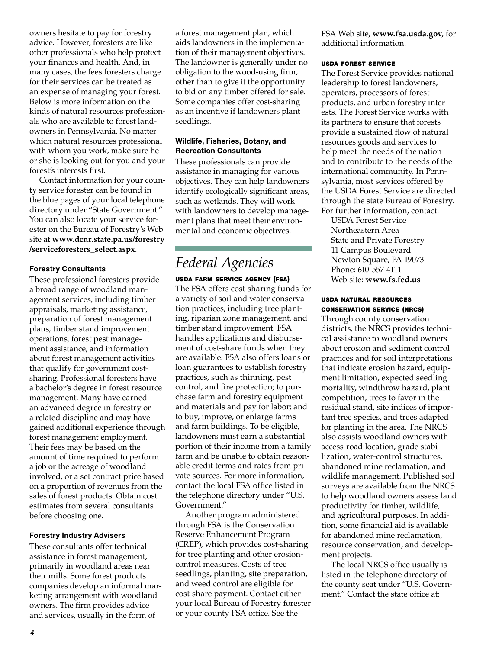owners hesitate to pay for forestry advice. However, foresters are like other professionals who help protect your finances and health. And, in many cases, the fees foresters charge for their services can be treated as an expense of managing your forest. Below is more information on the kinds of natural resources professionals who are available to forest landowners in Pennsylvania. No matter which natural resources professional with whom you work, make sure he or she is looking out for you and your forest's interests first.

Contact information for your county service forester can be found in the blue pages of your local telephone directory under "State Government." You can also locate your service forester on the Bureau of Forestry's Web site at **www.dcnr.state.pa.us/forestry /serviceforesters\_select.aspx**.

#### Forestry Consultants

These professional foresters provide a broad range of woodland management services, including timber appraisals, marketing assistance, preparation of forest management plans, timber stand improvement operations, forest pest management assistance, and information about forest management activities that qualify for government costsharing. Professional foresters have a bachelor's degree in forest resource management. Many have earned an advanced degree in forestry or a related discipline and may have gained additional experience through forest management employment. Their fees may be based on the amount of time required to perform a job or the acreage of woodland involved, or a set contract price based on a proportion of revenues from the sales of forest products. Obtain cost estimates from several consultants before choosing one.

#### Forestry Industry Advisers

These consultants offer technical assistance in forest management, primarily in woodland areas near their mills. Some forest products companies develop an informal marketing arrangement with woodland owners. The firm provides advice and services, usually in the form of

a forest management plan, which aids landowners in the implementation of their management objectives. The landowner is generally under no obligation to the wood-using firm, other than to give it the opportunity to bid on any timber offered for sale. Some companies offer cost-sharing as an incentive if landowners plant seedlings.

#### Wildlife, Fisheries, Botany, and Recreation Consultants

These professionals can provide assistance in managing for various objectives. They can help landowners identify ecologically significant areas, such as wetlands. They will work with landowners to develop management plans that meet their environmental and economic objectives.

### *Federal Agencies*

usda farm service agency (fsa) The FSA offers cost-sharing funds for

a variety of soil and water conservation practices, including tree planting, riparian zone management, and timber stand improvement. FSA handles applications and disbursement of cost-share funds when they are available. FSA also offers loans or loan guarantees to establish forestry practices, such as thinning, pest control, and fire protection; to purchase farm and forestry equipment and materials and pay for labor; and to buy, improve, or enlarge farms and farm buildings. To be eligible, landowners must earn a substantial portion of their income from a family farm and be unable to obtain reasonable credit terms and rates from private sources. For more information, contact the local FSA office listed in the telephone directory under "U.S. Government."

Another program administered through FSA is the Conservation Reserve Enhancement Program (CREP), which provides cost-sharing for tree planting and other erosioncontrol measures. Costs of tree seedlings, planting, site preparation, and weed control are eligible for cost-share payment. Contact either your local Bureau of Forestry forester or your county FSA office. See the

FSA Web site, **www.fsa.usda.gov**, for additional information.

#### usda forest service

The Forest Service provides national leadership to forest landowners, operators, processors of forest products, and urban forestry interests. The Forest Service works with its partners to ensure that forests provide a sustained flow of natural resources goods and services to help meet the needs of the nation and to contribute to the needs of the international community. In Pennsylvania, most services offered by the USDA Forest Service are directed through the state Bureau of Forestry. For further information, contact:

USDA Forest Service Northeastern Area State and Private Forestry 11 Campus Boulevard Newton Square, PA 19073 Phone: 610-557-4111 Web site: **www.fs.fed.us**

#### usda natural resources conservation service (nrcs)

Through county conservation districts, the NRCS provides technical assistance to woodland owners about erosion and sediment control practices and for soil interpretations that indicate erosion hazard, equipment limitation, expected seedling mortality, windthrow hazard, plant competition, trees to favor in the residual stand, site indices of important tree species, and trees adapted for planting in the area. The NRCS also assists woodland owners with access-road location, grade stabilization, water-control structures, abandoned mine reclamation, and wildlife management. Published soil surveys are available from the NRCS to help woodland owners assess land productivity for timber, wildlife, and agricultural purposes. In addition, some financial aid is available for abandoned mine reclamation, resource conservation, and development projects.

The local NRCS office usually is listed in the telephone directory of the county seat under "U.S. Government." Contact the state office at: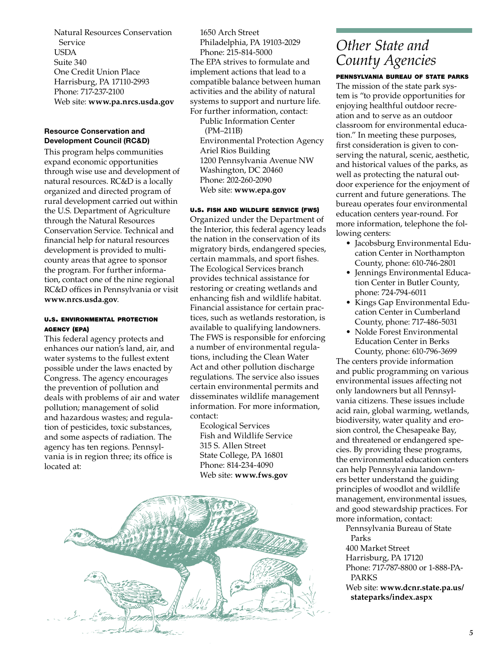Natural Resources Conservation Service USDA Suite 340 One Credit Union Place Harrisburg, PA 17110-2993 Phone: 717-237-2100 Web site: **www.pa.nrcs.usda.gov**

#### Resource Conservation and Development Council (RC&D)

This program helps communities expand economic opportunities through wise use and development of natural resources. RC&D is a locally organized and directed program of rural development carried out within the U.S. Department of Agriculture through the Natural Resources Conservation Service. Technical and financial help for natural resources development is provided to multicounty areas that agree to sponsor the program. For further information, contact one of the nine regional RC&D offices in Pennsylvania or visit **www.nrcs.usda.gov**.

#### u.s. environmental protection agency (epa)

This federal agency protects and enhances our nation's land, air, and water systems to the fullest extent possible under the laws enacted by Congress. The agency encourages the prevention of pollution and deals with problems of air and water pollution; management of solid and hazardous wastes; and regulation of pesticides, toxic substances, and some aspects of radiation. The agency has ten regions. Pennsylvania is in region three; its office is located at:

1650 Arch Street Philadelphia, PA 19103-2029 Phone: 215-814-5000 The EPA strives to formulate and implement actions that lead to a compatible balance between human activities and the ability of natural systems to support and nurture life. For further information, contact:

Public Information Center (PM–211B) Environmental Protection Agency Ariel Rios Building 1200 Pennsylvania Avenue NW Washington, DC 20460 Phone: 202-260-2090 Web site: **www.epa.gov**

#### u.s. fish and wildlife service (fws)

Organized under the Department of the Interior, this federal agency leads the nation in the conservation of its migratory birds, endangered species, certain mammals, and sport fishes. The Ecological Services branch provides technical assistance for restoring or creating wetlands and enhancing fish and wildlife habitat. Financial assistance for certain practices, such as wetlands restoration, is available to qualifying landowners. The FWS is responsible for enforcing a number of environmental regulations, including the Clean Water Act and other pollution discharge regulations. The service also issues certain environmental permits and disseminates wildlife management information. For more information, contact:

Ecological Services Fish and Wildlife Service 315 S. Allen Street State College, PA 16801 Phone: 814-234-4090 Web site: **www.fws.gov**



### *Other State and County Agencies*

pennsylvania bureau of state parks The mission of the state park system is "to provide opportunities for enjoying healthful outdoor recreation and to serve as an outdoor classroom for environmental education." In meeting these purposes, first consideration is given to conserving the natural, scenic, aesthetic, and historical values of the parks, as well as protecting the natural outdoor experience for the enjoyment of current and future generations. The bureau operates four environmental education centers year-round. For more information, telephone the following centers:

- Jacobsburg Environmental Education Center in Northampton County, phone: 610-746-2801
- Jennings Environmental Education Center in Butler County, phone: 724-794-6011
- Kings Gap Environmental Education Center in Cumberland County, phone: 717-486-5031
- Nolde Forest Environmental Education Center in Berks County, phone: 610-796-3699

The centers provide information and public programming on various environmental issues affecting not only landowners but all Pennsylvania citizens. These issues include acid rain, global warming, wetlands, biodiversity, water quality and erosion control, the Chesapeake Bay, and threatened or endangered species. By providing these programs, the environmental education centers can help Pennsylvania landowners better understand the guiding principles of woodlot and wildlife management, environmental issues, and good stewardship practices. For more information, contact:

Pennsylvania Bureau of State Parks

400 Market Street Harrisburg, PA 17120 Phone: 717-787-8800 or 1-888-PA-PARKS Web site: **www.dcnr.state.pa.us/ stateparks/index.aspx**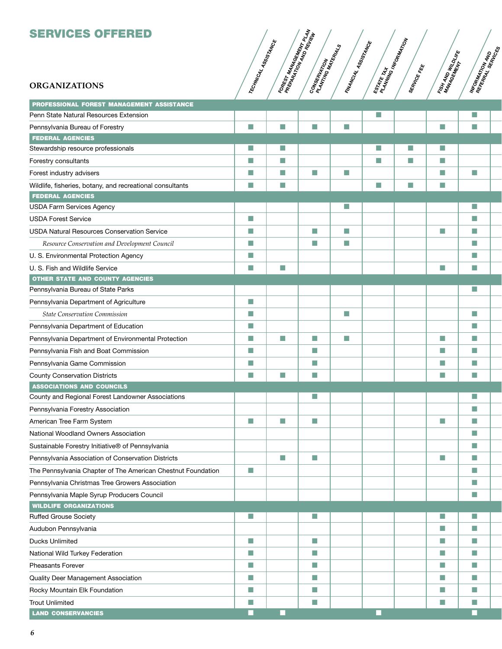### SERVICES OFFERED

#### **ORGANIZATIONS**

| <b>ORGANIZATIONS</b>                                         | TECHNICAL | FOREST<br>PREPARMA | CONSERVATION | FINANCIAL | ESTATE TAJ<br>PLANTE TAJ | SERVICE FE | FISH AND H<br>MANAGED H | <b>INFORMATIVE</b> |
|--------------------------------------------------------------|-----------|--------------------|--------------|-----------|--------------------------|------------|-------------------------|--------------------|
| PROFESSIONAL FOREST MANAGEMENT ASSISTANCE                    |           |                    |              |           |                          |            |                         |                    |
| Penn State Natural Resources Extension                       |           |                    |              |           | n.                       |            |                         | n.                 |
| Pennsylvania Bureau of Forestry                              | L.        | u                  | H            | H.        |                          |            | H.                      | H                  |
| <b>FEDERAL AGENCIES</b>                                      |           |                    |              |           |                          |            |                         |                    |
| Stewardship resource professionals                           | П         | П                  |              |           | П                        | П          | n.                      |                    |
| Forestry consultants                                         | T.        | m.                 |              |           | M                        | H.         | H.                      |                    |
| Forest industry advisers                                     | H         | H                  | F.           | H         |                          |            | H                       | H.                 |
| Wildlife, fisheries, botany, and recreational consultants    | F.        | H.                 |              |           | H.                       | F.         | M                       |                    |
| <b>FEDERAL AGENCIES</b>                                      |           |                    |              |           |                          |            |                         |                    |
| <b>USDA Farm Services Agency</b>                             |           |                    |              | П         |                          |            |                         | m.                 |
| <b>USDA Forest Service</b>                                   | n.        |                    |              |           |                          |            |                         | H                  |
| <b>USDA Natural Resources Conservation Service</b>           | m.        |                    | П            | m.        |                          |            | H                       | H.                 |
| Resource Conservation and Development Council                | F.        |                    | F.           | F.        |                          |            |                         | H.                 |
| U. S. Environmental Protection Agency                        | H         |                    |              |           |                          |            |                         | H.                 |
| U. S. Fish and Wildlife Service                              | m.        | H.                 |              |           |                          |            | H.                      | H.                 |
| <b>OTHER STATE AND COUNTY AGENCIES</b>                       |           |                    |              |           |                          |            |                         |                    |
| Pennsylvania Bureau of State Parks                           |           |                    |              |           |                          |            |                         | m.                 |
| Pennsylvania Department of Agriculture                       | T.        |                    |              |           |                          |            |                         |                    |
| <b>State Conservation Commission</b>                         | H         |                    |              | H.        |                          |            |                         | H.                 |
| Pennsylvania Department of Education                         | H         |                    |              |           |                          |            |                         | H.                 |
| Pennsylvania Department of Environmental Protection          | F.        | H                  | F.           | F.        |                          |            | H                       | H.                 |
| Pennsylvania Fish and Boat Commission                        | H         |                    | П            |           |                          |            | H                       | T.                 |
| Pennsylvania Game Commission                                 | H         |                    | П            |           |                          |            | H                       | T.                 |
| <b>County Conservation Districts</b>                         | F.        | H                  | П            |           |                          |            | H                       | H                  |
| <b>ASSOCIATIONS AND COUNCILS</b>                             |           |                    |              |           |                          |            |                         |                    |
| County and Regional Forest Landowner Associations            |           |                    | H            |           |                          |            |                         | T.                 |
| Pennsylvania Forestry Association                            |           |                    |              |           |                          |            |                         | T.                 |
| American Tree Farm System                                    | T.        | H.                 | H.           |           |                          |            | H.                      | H.                 |
| National Woodland Owners Association                         |           |                    |              |           |                          |            |                         | П                  |
| Sustainable Forestry Initiative® of Pennsylvania             |           |                    |              |           |                          |            |                         | H.                 |
| Pennsylvania Association of Conservation Districts           |           | T.                 | H.           |           |                          |            | H.                      | H.                 |
| The Pennsylvania Chapter of The American Chestnut Foundation | T.        |                    |              |           |                          |            |                         | H.                 |
| Pennsylvania Christmas Tree Growers Association              |           |                    |              |           |                          |            |                         | H.                 |
| Pennsylvania Maple Syrup Producers Council                   |           |                    |              |           |                          |            |                         | H.                 |
| <b>WILDLIFE ORGANIZATIONS</b>                                |           |                    |              |           |                          |            |                         |                    |
| Ruffed Grouse Society                                        | P.        |                    | T.           |           |                          |            | П                       | <b>COL</b>         |
| Audubon Pennsylvania                                         |           |                    |              |           |                          |            | H.                      | H.                 |
| <b>Ducks Unlimited</b>                                       | n.        |                    | H.           |           |                          |            | H.                      | T.                 |
| National Wild Turkey Federation                              | T.        |                    | H.           |           |                          |            | H.                      | M.                 |
| <b>Pheasants Forever</b>                                     | T.        |                    | H.           |           |                          |            | F.                      | T.                 |
| Quality Deer Management Association                          | n.        |                    | H.           |           |                          |            | H.                      | T.                 |
| Rocky Mountain Elk Foundation                                | T.        |                    | F.           |           |                          |            | F.                      | T.                 |
| <b>Trout Unlimited</b>                                       | F.        |                    | H.           |           |                          |            | H.                      | M.                 |
| <b>LAND CONSERVANCIES</b>                                    | ш         | L                  |              |           | п                        |            |                         | H                  |
|                                                              |           |                    |              |           |                          |            |                         |                    |

Assistance

MANAGEMENT

PREPARAMA<br>PREPARATION

plant<br>Plant

Review

Conseming Town

MATERIALS

Assistance

Estate<br>Astr RAMMAGI

INFORMATION

fee

Windlife<br>Kitche

Management<br>Phylogement

**INFORMATION** 

इँ

services

৻ৼ<br>ৼ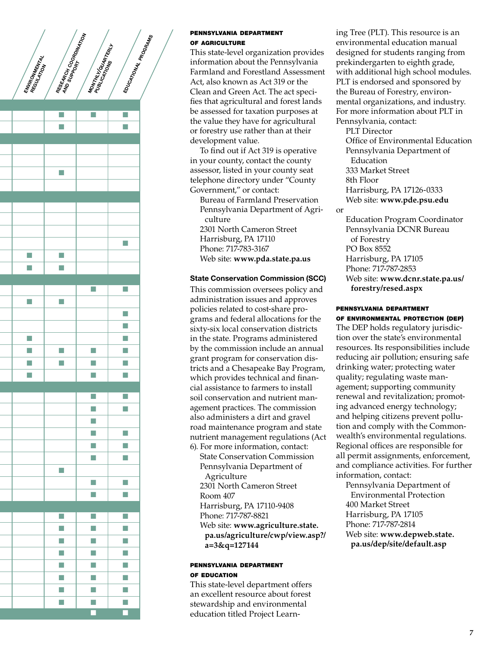

#### pennsylvania department of agriculture

This state-level organization provides information about the Pennsylvania Farmland and Forestland Assessment Act, also known as Act 319 or the Clean and Green Act. The act specifies that agricultural and forest lands be assessed for taxation purposes at the value they have for agricultural or forestry use rather than at their development value.

To find out if Act 319 is operative in your county, contact the county assessor, listed in your county seat telephone directory under "County Government," or contact:

Bureau of Farmland Preservation Pennsylvania Department of Agriculture 2301 North Cameron Street

Harrisburg, PA 17110 Phone: 717-783-3167 Web site: **www.pda.state.pa.us**

#### State Conservation Commission (SCC)

This commission oversees policy and administration issues and approves policies related to cost-share programs and federal allocations for the sixty-six local conservation districts in the state. Programs administered by the commission include an annual grant program for conservation districts and a Chesapeake Bay Program, which provides technical and financial assistance to farmers to install soil conservation and nutrient management practices. The commission also administers a dirt and gravel road maintenance program and state nutrient management regulations (Act 6). For more information, contact:

State Conservation Commission Pennsylvania Department of Agriculture 2301 North Cameron Street Room 407 Harrisburg, PA 17110-9408 Phone: 717-787-8821 Web site: **www.agriculture.state. pa.us/agriculture/cwp/view.asp?/ a=3&q=127144**

#### pennsylvania department of education

This state-level department offers an excellent resource about forest stewardship and environmental education titled Project Learn-

ing Tree (PLT). This resource is an environmental education manual designed for students ranging from prekindergarten to eighth grade, with additional high school modules. PLT is endorsed and sponsored by the Bureau of Forestry, environmental organizations, and industry. For more information about PLT in Pennsylvania, contact:

PLT Director Office of Environmental Education Pennsylvania Department of Education 333 Market Street 8th Floor Harrisburg, PA 17126-0333 Web site: **www.pde.psu.edu**

or

Education Program Coordinator Pennsylvania DCNR Bureau of Forestry PO Box 8552 Harrisburg, PA 17105 Phone: 717-787-2853 Web site: **www.dcnr.state.pa.us/ forestry/resed.aspx**

#### pennsylvania department of environmental protection (dep)

The DEP holds regulatory jurisdiction over the state's environmental resources. Its responsibilities include reducing air pollution; ensuring safe drinking water; protecting water quality; regulating waste management; supporting community renewal and revitalization; promoting advanced energy technology; and helping citizens prevent pollution and comply with the Commonwealth's environmental regulations. Regional offices are responsible for all permit assignments, enforcement, and compliance activities. For further information, contact:

Pennsylvania Department of Environmental Protection 400 Market Street Harrisburg, PA 17105 Phone: 717-787-2814 Web site: **www.depweb.state. pa.us/dep/site/default.asp**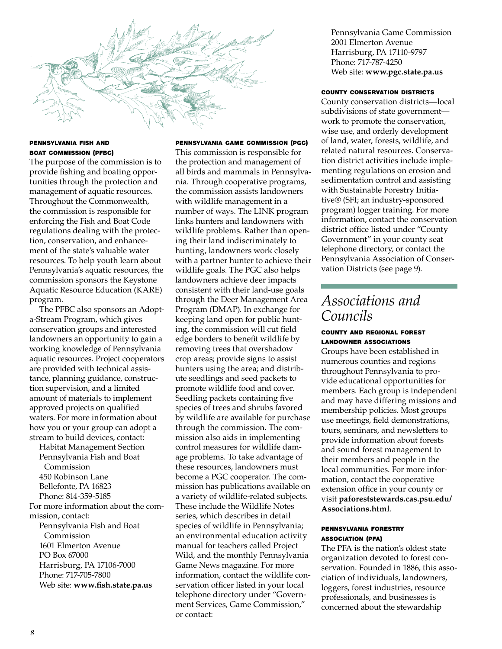

#### pennsylvania fish and boat commission (pfbc)

The purpose of the commission is to provide fishing and boating opportunities through the protection and management of aquatic resources. Throughout the Commonwealth, the commission is responsible for enforcing the Fish and Boat Code regulations dealing with the protection, conservation, and enhancement of the state's valuable water resources. To help youth learn about Pennsylvania's aquatic resources, the commission sponsors the Keystone Aquatic Resource Education (KARE) program.

The PFBC also sponsors an Adopta-Stream Program, which gives conservation groups and interested landowners an opportunity to gain a working knowledge of Pennsylvania aquatic resources. Project cooperators are provided with technical assistance, planning guidance, construction supervision, and a limited amount of materials to implement approved projects on qualified waters. For more information about how you or your group can adopt a stream to build devices, contact:

Habitat Management Section Pennsylvania Fish and Boat Commission 450 Robinson Lane Bellefonte, PA 16823 Phone: 814-359-5185 For more information about the commission, contact: Pennsylvania Fish and Boat Commission 1601 Elmerton Avenue PO Box 67000 Harrisburg, PA 17106-7000 Phone: 717-705-7800 Web site: **www.fish.state.pa.us**

#### pennsylvania game commission (pgc)

This commission is responsible for the protection and management of all birds and mammals in Pennsylvania. Through cooperative programs, the commission assists landowners with wildlife management in a number of ways. The LINK program links hunters and landowners with wildlife problems. Rather than opening their land indiscriminately to hunting, landowners work closely with a partner hunter to achieve their wildlife goals. The PGC also helps landowners achieve deer impacts consistent with their land-use goals through the Deer Management Area Program (DMAP). In exchange for keeping land open for public hunting, the commission will cut field edge borders to benefit wildlife by removing trees that overshadow crop areas; provide signs to assist hunters using the area; and distribute seedlings and seed packets to promote wildlife food and cover. Seedling packets containing five species of trees and shrubs favored by wildlife are available for purchase through the commission. The commission also aids in implementing control measures for wildlife damage problems. To take advantage of these resources, landowners must become a PGC cooperator. The commission has publications available on a variety of wildlife-related subjects. These include the Wildlife Notes series, which describes in detail species of wildlife in Pennsylvania; an environmental education activity manual for teachers called Project Wild, and the monthly Pennsylvania Game News magazine. For more information, contact the wildlife conservation officer listed in your local telephone directory under "Government Services, Game Commission," or contact:

Pennsylvania Game Commission 2001 Elmerton Avenue Harrisburg, PA 17110-9797 Phone: 717-787-4250 Web site: **www.pgc.state.pa.us**

#### county conservation districts

County conservation districts—local subdivisions of state government work to promote the conservation, wise use, and orderly development of land, water, forests, wildlife, and related natural resources. Conservation district activities include implementing regulations on erosion and sedimentation control and assisting with Sustainable Forestry Initiative® (SFI; an industry-sponsored program) logger training. For more information, contact the conservation district office listed under "County Government" in your county seat telephone directory, or contact the Pennsylvania Association of Conservation Districts (see page 9).

### *Associations and Councils*

#### county and regional forest landowner associations

Groups have been established in numerous counties and regions throughout Pennsylvania to provide educational opportunities for members. Each group is independent and may have differing missions and membership policies. Most groups use meetings, field demonstrations, tours, seminars, and newsletters to provide information about forests and sound forest management to their members and people in the local communities. For more information, contact the cooperative extension office in your county or visit **paforeststewards.cas.psu.edu/ Associations.html**.

#### pennsylvania forestry association (pfa)

The PFA is the nation's oldest state organization devoted to forest conservation. Founded in 1886, this association of individuals, landowners, loggers, forest industries, resource professionals, and businesses is concerned about the stewardship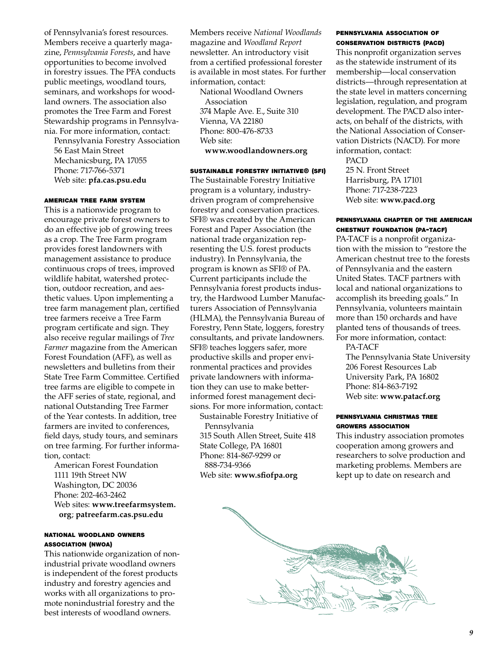of Pennsylvania's forest resources. Members receive a quarterly magazine, *Pennsylvania Forests*, and have opportunities to become involved in forestry issues. The PFA conducts public meetings, woodland tours, seminars, and workshops for woodland owners. The association also promotes the Tree Farm and Forest Stewardship programs in Pennsylvania. For more information, contact:

Pennsylvania Forestry Association 56 East Main Street Mechanicsburg, PA 17055 Phone: 717-766-5371 Web site: **pfa.cas.psu.edu**

#### american tree farm system

This is a nationwide program to encourage private forest owners to do an effective job of growing trees as a crop. The Tree Farm program provides forest landowners with management assistance to produce continuous crops of trees, improved wildlife habitat, watershed protection, outdoor recreation, and aesthetic values. Upon implementing a tree farm management plan, certified tree farmers receive a Tree Farm program certificate and sign. They also receive regular mailings of *Tree Farmer* magazine from the American Forest Foundation (AFF), as well as newsletters and bulletins from their State Tree Farm Committee. Certified tree farms are eligible to compete in the AFF series of state, regional, and national Outstanding Tree Farmer of the Year contests. In addition, tree farmers are invited to conferences, field days, study tours, and seminars on tree farming. For further information, contact:

American Forest Foundation 1111 19th Street NW Washington, DC 20036 Phone: 202-463-2462 Web sites: **www.treefarmsystem. org**; **patreefarm.cas.psu.edu**

#### national woodland owners association (nwoa)

This nationwide organization of nonindustrial private woodland owners is independent of the forest products industry and forestry agencies and works with all organizations to promote nonindustrial forestry and the best interests of woodland owners.

Members receive *National Woodlands* magazine and *Woodland Report* newsletter. An introductory visit from a certified professional forester is available in most states. For further information, contact:

National Woodland Owners Association 374 Maple Ave. E., Suite 310 Vienna, VA 22180 Phone: 800-476-8733 Web site: **www.woodlandowners.org**

#### sustainable forestry initiative® (sfi)

The Sustainable Forestry Initiative program is a voluntary, industrydriven program of comprehensive forestry and conservation practices. SFI® was created by the American Forest and Paper Association (the national trade organization representing the U.S. forest products industry). In Pennsylvania, the program is known as SFI® of PA. Current participants include the Pennsylvania forest products industry, the Hardwood Lumber Manufacturers Association of Pennsylvania (HLMA), the Pennsylvania Bureau of Forestry, Penn State, loggers, forestry consultants, and private landowners. SFI® teaches loggers safer, more productive skills and proper environmental practices and provides private landowners with information they can use to make betterinformed forest management decisions. For more information, contact:

Sustainable Forestry Initiative of Pennsylvania 315 South Allen Street, Suite 418 State College, PA 16801 Phone: 814-867-9299 or 888-734-9366 Web site: **www.sfiofpa.org**

#### pennsylvania association of conservation districts (pacd)

This nonprofit organization serves as the statewide instrument of its membership—local conservation districts—through representation at the state level in matters concerning legislation, regulation, and program development. The PACD also interacts, on behalf of the districts, with the National Association of Conservation Districts (NACD). For more information, contact:

PACD 25 N. Front Street Harrisburg, PA 17101 Phone: 717-238-7223 Web site: **www.pacd.org**

#### pennsylvania chapter of the american chestnut foundation (pa-tacf)

PA-TACF is a nonprofit organization with the mission to "restore the American chestnut tree to the forests of Pennsylvania and the eastern United States. TACF partners with local and national organizations to accomplish its breeding goals." In Pennsylvania, volunteers maintain more than 150 orchards and have planted tens of thousands of trees. For more information, contact:

PA-TACF

The Pennsylvania State University 206 Forest Resources Lab University Park, PA 16802 Phone: 814-863-7192 Web site: **www.patacf.org**

#### pennsylvania christmas tree growers association

This industry association promotes cooperation among growers and researchers to solve production and marketing problems. Members are kept up to date on research and

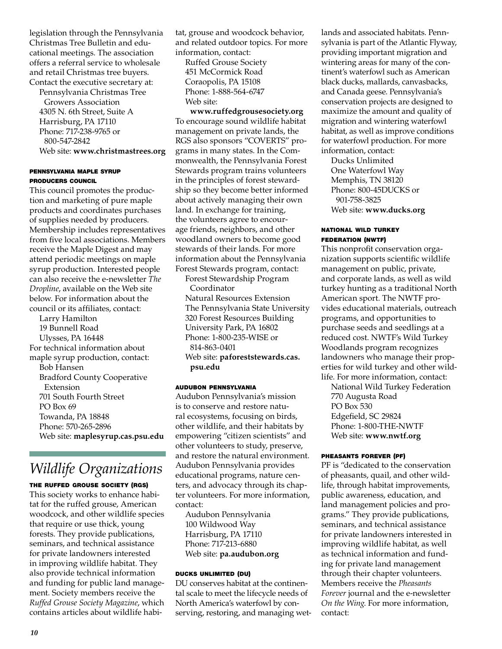legislation through the Pennsylvania Christmas Tree Bulletin and educational meetings. The association offers a referral service to wholesale and retail Christmas tree buyers. Contact the executive secretary at:

Pennsylvania Christmas Tree Growers Association 4305 N. 6th Street, Suite A Harrisburg, PA 17110 Phone: 717-238-9765 or 800-547-2842 Web site: **www.christmastrees.org**

#### pennsylvania maple syrup producers council

This council promotes the production and marketing of pure maple products and coordinates purchases of supplies needed by producers. Membership includes representatives from five local associations. Members receive the Maple Digest and may attend periodic meetings on maple syrup production. Interested people can also receive the e-newsletter *The Dropline*, available on the Web site below. For information about the council or its affiliates, contact:

Larry Hamilton 19 Bunnell Road Ulysses, PA 16448 For technical information about maple syrup production, contact: Bob Hansen Bradford County Cooperative Extension 701 South Fourth Street PO Box 69 Towanda, PA 18848 Phone: 570-265-2896 Web site: **maplesyrup.cas.psu.edu**

### *Wildlife Organizations*

#### THE RUFFED GROUSE SOCIETY (RGS)

This society works to enhance habitat for the ruffed grouse, American woodcock, and other wildlife species that require or use thick, young forests. They provide publications, seminars, and technical assistance for private landowners interested in improving wildlife habitat. They also provide technical information and funding for public land management. Society members receive the *Ruffed Grouse Society Magazine*, which contains articles about wildlife habitat, grouse and woodcock behavior, and related outdoor topics. For more information, contact:

Ruffed Grouse Society 451 McCormick Road Coraopolis, PA 15108 Phone: 1-888-564-6747 Web site:

**www.ruffedgrousesociety.org** To encourage sound wildlife habitat management on private lands, the RGS also sponsors "COVERTS" programs in many states. In the Commonwealth, the Pennsylvania Forest Stewards program trains volunteers in the principles of forest stewardship so they become better informed about actively managing their own land. In exchange for training, the volunteers agree to encourage friends, neighbors, and other woodland owners to become good stewards of their lands. For more information about the Pennsylvania Forest Stewards program, contact:

Forest Stewardship Program Coordinator Natural Resources Extension The Pennsylvania State University 320 Forest Resources Building University Park, PA 16802 Phone: 1-800-235-WISE or 814-863-0401 Web site: **paforeststewards.cas.**

#### **psu.edu**

#### audubon pennsylvania

Audubon Pennsylvania's mission is to conserve and restore natural ecosystems, focusing on birds, other wildlife, and their habitats by empowering "citizen scientists" and other volunteers to study, preserve, and restore the natural environment. Audubon Pennsylvania provides educational programs, nature centers, and advocacy through its chapter volunteers. For more information, contact:

Audubon Pennsylvania 100 Wildwood Way Harrisburg, PA 17110 Phone: 717-213-6880 Web site: **pa.audubon.org**

#### ducks unlimited (du)

DU conserves habitat at the continental scale to meet the lifecycle needs of North America's waterfowl by conserving, restoring, and managing wetlands and associated habitats. Pennsylvania is part of the Atlantic Flyway, providing important migration and wintering areas for many of the continent's waterfowl such as American black ducks, mallards, canvasbacks, and Canada geese. Pennsylvania's conservation projects are designed to maximize the amount and quality of migration and wintering waterfowl habitat, as well as improve conditions for waterfowl production. For more information, contact:

Ducks Unlimited One Waterfowl Way Memphis, TN 38120 Phone: 800-45DUCKS or 901-758-3825 Web site: **www.ducks.org**

#### national wild turkey federation (nwtf)

This nonprofit conservation organization supports scientific wildlife management on public, private, and corporate lands, as well as wild turkey hunting as a traditional North American sport. The NWTF provides educational materials, outreach programs, and opportunities to purchase seeds and seedlings at a reduced cost. NWTF's Wild Turkey Woodlands program recognizes landowners who manage their properties for wild turkey and other wildlife. For more information, contact:

National Wild Turkey Federation 770 Augusta Road PO Box 530 Edgefield, SC 29824 Phone: 1-800-THE-NWTF Web site: **www.nwtf.org**

#### pheasants forever (pf)

PF is "dedicated to the conservation of pheasants, quail, and other wildlife, through habitat improvements, public awareness, education, and land management policies and programs." They provide publications, seminars, and technical assistance for private landowners interested in improving wildlife habitat, as well as technical information and funding for private land management through their chapter volunteers. Members receive the *Pheasants Forever* journal and the e-newsletter *On the Wing*. For more information, contact: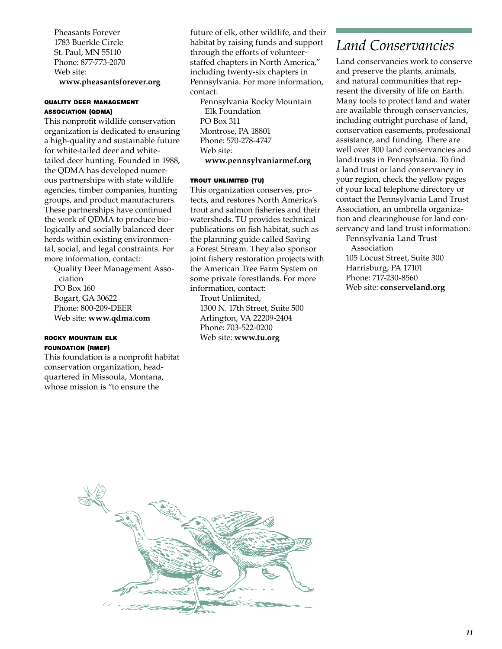Pheasants Forever 1783 Buerkle Circle St. Paul, MN 55110 Phone: 877-773-2070 Web site: **www.pheasantsforever.org**

#### quality deer management association (qdma)

This nonprofit wildlife conservation organization is dedicated to ensuring a high-quality and sustainable future for white-tailed deer and whitetailed deer hunting. Founded in 1988, the QDMA has developed numerous partnerships with state wildlife agencies, timber companies, hunting groups, and product manufacturers. These partnerships have continued the work of QDMA to produce biologically and socially balanced deer herds within existing environmental, social, and legal constraints. For more information, contact:

Quality Deer Management Association PO Box 160 Bogart, GA 30622 Phone: 800-209-DEER Web site: **www.qdma.com**

#### rocky mountain elk foundation (rmef)

This foundation is a nonprofit habitat conservation organization, headquartered in Missoula, Montana, whose mission is "to ensure the

future of elk, other wildlife, and their habitat by raising funds and support through the efforts of volunteerstaffed chapters in North America," including twenty-six chapters in Pennsylvania. For more information, contact:

Pennsylvania Rocky Mountain Elk Foundation PO Box 311 Montrose, PA 18801 Phone: 570-278-4747 Web site: **www.pennsylvaniarmef.org**

#### trout unlimited (tu)

This organization conserves, protects, and restores North America's trout and salmon fisheries and their watersheds. TU provides technical publications on fish habitat, such as the planning guide called Saving a Forest Stream. They also sponsor joint fishery restoration projects with the American Tree Farm System on some private forestlands. For more information, contact: Trout Unlimited,

1300 N. 17th Street, Suite 500 Arlington, VA 22209-2404 Phone: 703-522-0200 Web site: **www.tu.org**

### *Land Conservancies*

Land conservancies work to conserve and preserve the plants, animals, and natural communities that represent the diversity of life on Earth. Many tools to protect land and water are available through conservancies, including outright purchase of land, conservation easements, professional assistance, and funding. There are well over 300 land conservancies and land trusts in Pennsylvania. To find a land trust or land conservancy in your region, check the yellow pages of your local telephone directory or contact the Pennsylvania Land Trust Association, an umbrella organization and clearinghouse for land conservancy and land trust information:

Pennsylvania Land Trust Association 105 Locust Street, Suite 300 Harrisburg, PA 17101 Phone: 717-230-8560 Web site: **conserveland.org**